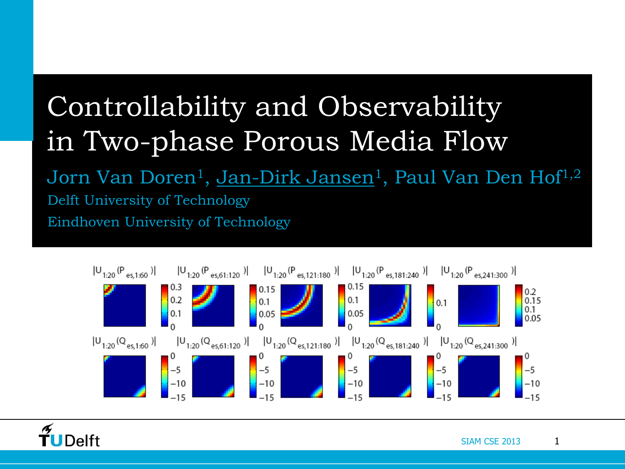# Controllability and Observability in Two-phase Porous Media Flow

Jorn Van Doren<sup>1</sup>, <u>Jan-Dirk Jansen</u><sup>1</sup>, Paul Van Den Hof<sup>1,2</sup> Delft University of Technology Eindhoven University of Technology



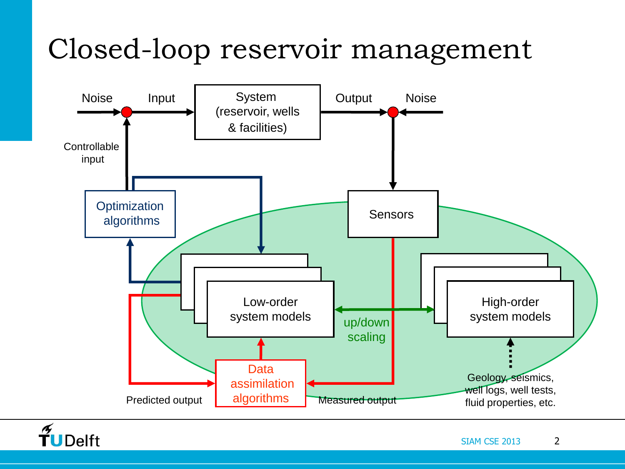## Closed-loop reservoir management



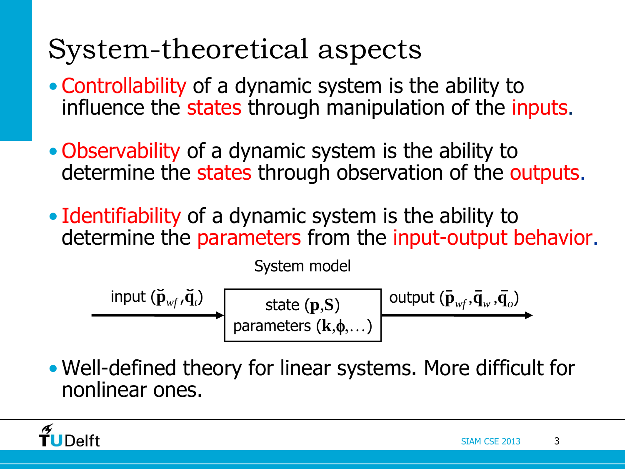# System-theoretical aspects

- Controllability of a dynamic system is the ability to influence the states through manipulation of the inputs.
- Observability of a dynamic system is the ability to determine the states through observation of the outputs.
- Identifiability of a dynamic system is the ability to determine the parameters from the input-output behavior.

System model

$$
\begin{array}{c}\n\text{input } (\breve{\mathbf{p}}_{wf}, \breve{\mathbf{q}}_t) \\
\hline\n\text{parameters } (\mathbf{k}, \phi, \ldots)\n\end{array}\n\quad\n\begin{array}{c}\n\text{output } (\bar{\mathbf{p}}_{wf}, \bar{\mathbf{q}}_w, \bar{\mathbf{q}}_o) \\
\hline\n\end{array}
$$

• Well-defined theory for linear systems. More difficult for nonlinear ones.

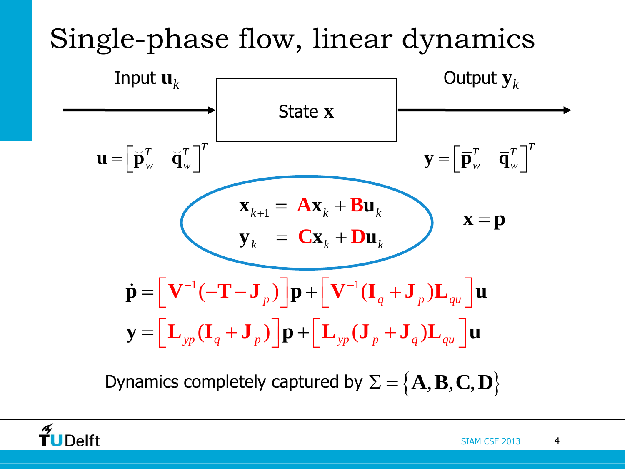# Single-phase flow, linear dynamics



Dynamics completely captured by  $\Sigma = \{A, B, C, D\}$ 

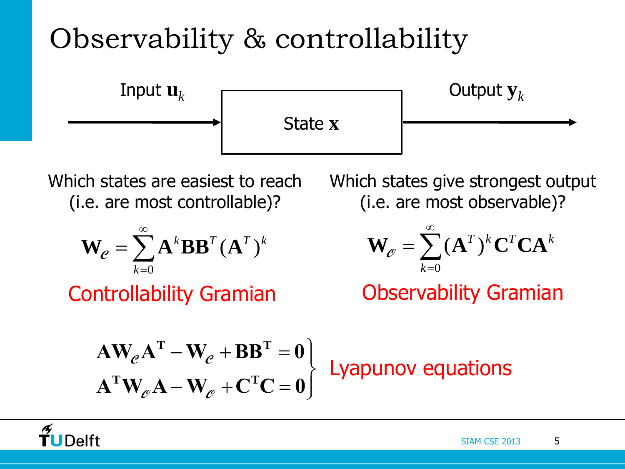# Observability & controllability



Which states are easiest to reach (i.e. are most controllable)?

$$
\mathbf{W}_e = \sum_{k=0}^{\infty} \mathbf{A}^k \mathbf{B} \mathbf{B}^T (\mathbf{A}^T)^k
$$

Controllability Gramian

Which states give strongest output (i.e. are most observable)?

$$
\mathbf{W}_{\mathcal{C}} = \sum_{k=0}^{\infty} (\mathbf{A}^T)^k \mathbf{C}^T \mathbf{C} \mathbf{A}^k
$$

Observability Gramian

$$
\mathbf{A}\mathbf{W}_{e}\mathbf{A}^{\mathrm{T}} - \mathbf{W}_{e} + \mathbf{B}\mathbf{B}^{\mathrm{T}} = \mathbf{0}
$$
\n
$$
\mathbf{A}^{\mathrm{T}}\mathbf{W}_{e}\mathbf{A} - \mathbf{W}_{e} + \mathbf{C}^{\mathrm{T}}\mathbf{C} = \mathbf{0}
$$
\nLyapunov equations

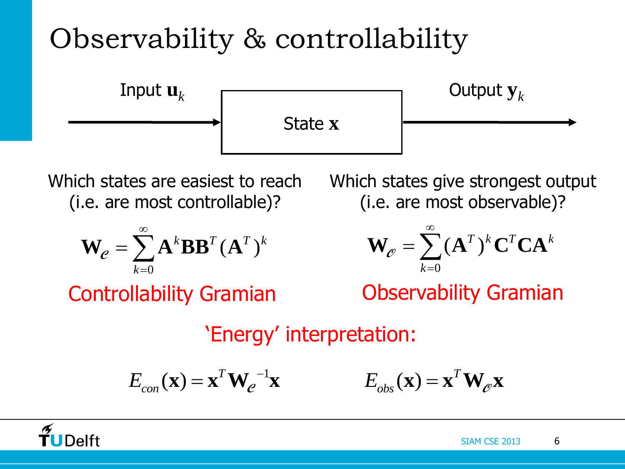# Observability & controllability



Which states are easiest to reach (i.e. are most controllable)?

$$
\mathbf{W}_e = \sum_{k=0}^{\infty} \mathbf{A}^k \mathbf{B} \mathbf{B}^T (\mathbf{A}^T)^k
$$

Controllability Gramian

Which states give strongest output (i.e. are most observable)?

$$
\mathbf{W}_{\varnothing} = \sum_{k=0}^{\infty} (\mathbf{A}^T)^k \mathbf{C}^T \mathbf{C} \mathbf{A}^k
$$

Observability Gramian

'Energy' interpretation:

$$
E_{con}(\mathbf{x}) = \mathbf{x}^T \mathbf{W}^{-1}_{e} \mathbf{x} \qquad E_{obs}(\mathbf{x}) = \mathbf{x}^T \mathbf{W}_{e} \mathbf{x}
$$

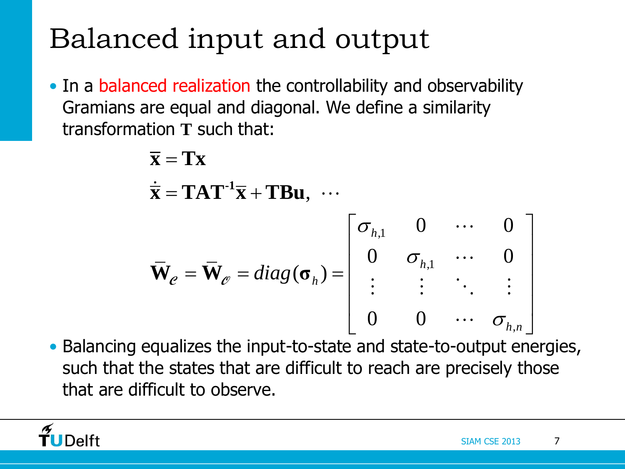# Balanced input and output

• In a balanced realization the controllability and observability<br>
Gramians are equal and diagonal. We define a similarity<br>
transformation T such that:<br>  $\overline{\mathbf{x}} = \mathbf{T}\mathbf{x}$ <br>  $\overline{\mathbf{x}} = \mathbf{T}\mathbf{x}$ Gramians are equal and diagonal. We define a similarity transformation **T** such that:

function T such that:

\n
$$
\overline{\mathbf{x}} = \mathbf{T} \mathbf{x}
$$
\n
$$
\dot{\overline{\mathbf{x}}} = \mathbf{T} \mathbf{A} \mathbf{T}^{-1} \overline{\mathbf{x}} + \mathbf{T} \mathbf{B} \mathbf{u}, \cdots
$$
\n
$$
\overline{\mathbf{W}}_{e} = \overline{\mathbf{W}}_{e} = diag(\sigma_{h}) = \begin{bmatrix} \sigma_{h,1} & 0 & \cdots & 0 \\ 0 & \sigma_{h,1} & \cdots & 0 \\ \vdots & \vdots & \ddots & \vdots \\ 0 & 0 & \cdots & \sigma_{h,n} \end{bmatrix}
$$
\nequalizes the input-to-state and state-to-output energies.

• Balancing equalizes the input-to-state and state-to-output energies, such that the states that are difficult to reach are precisely those that are difficult to observe.

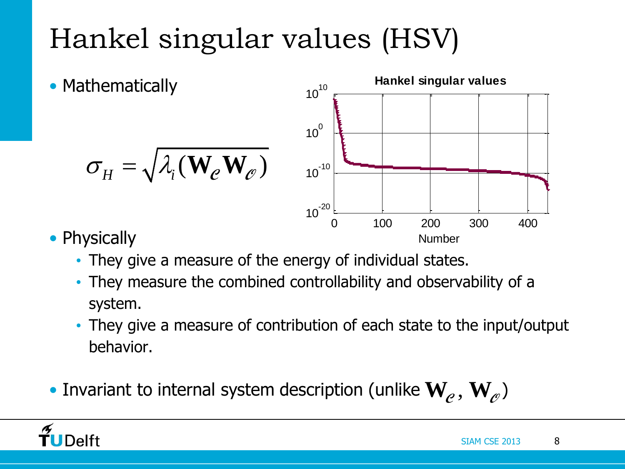# Hankel singular values (HSV)

**Mathematically**  $\sigma_H = \sqrt{\lambda_i(\mathbf{W}_e \mathbf{W}_e)}$  $10<sup>0</sup>$  $10^{10}$ 



- Physically
	- They give a measure of the energy of individual states.
	- They measure the combined controllability and observability of a system.
	- They give a measure of contribution of each state to the input/output behavior.
- $\bullet$  Invariant to internal system description (unlike  $\mathbf{W}_e, \mathbf{W}_e$ )

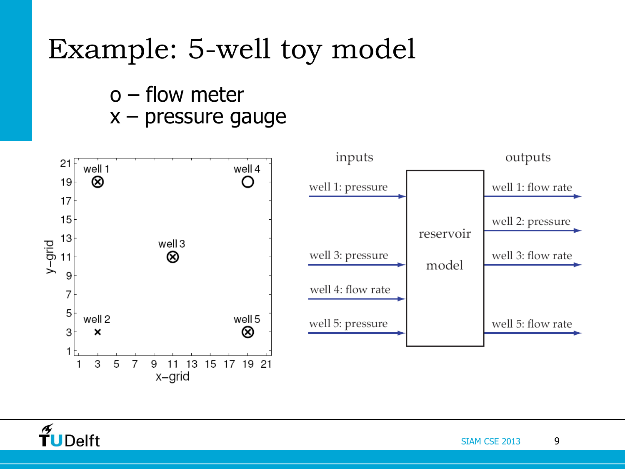## Example: 5-well toy model

o – flow meter x – pressure gauge



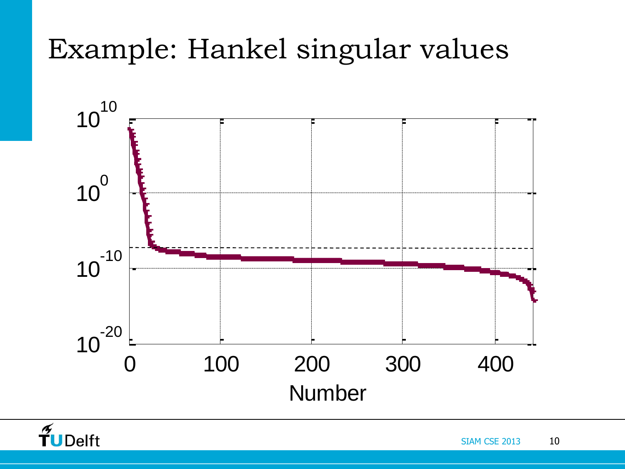# Example: Hankel singular values



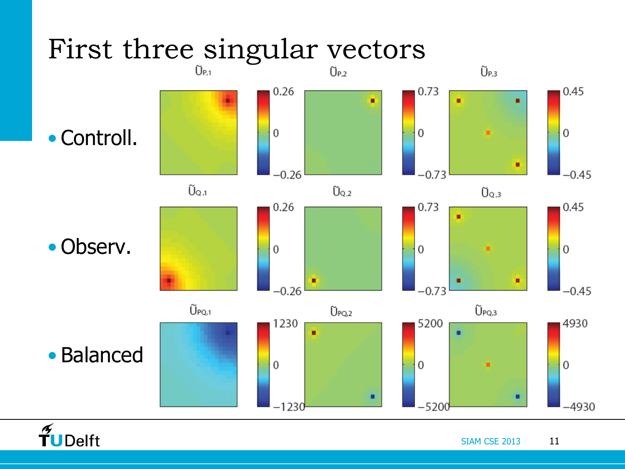

 $\frac{1}{\sqrt{2}}$ UDelft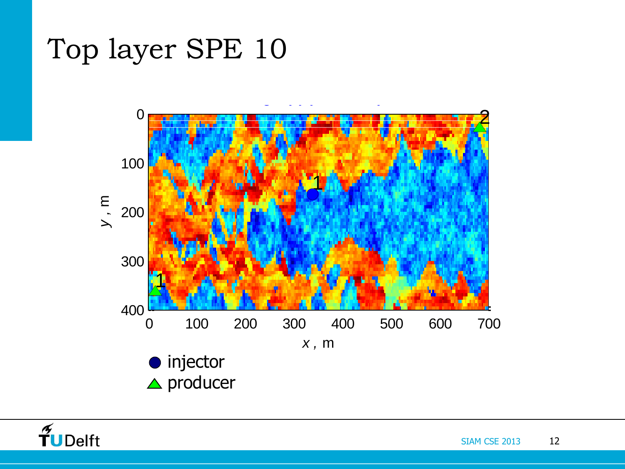#### Top layer SPE 10



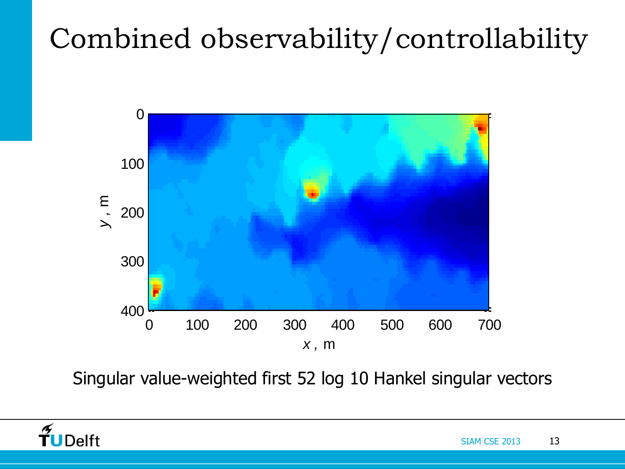# Combined observability/controllability



Singular value-weighted first 52 log 10 Hankel singular vectors

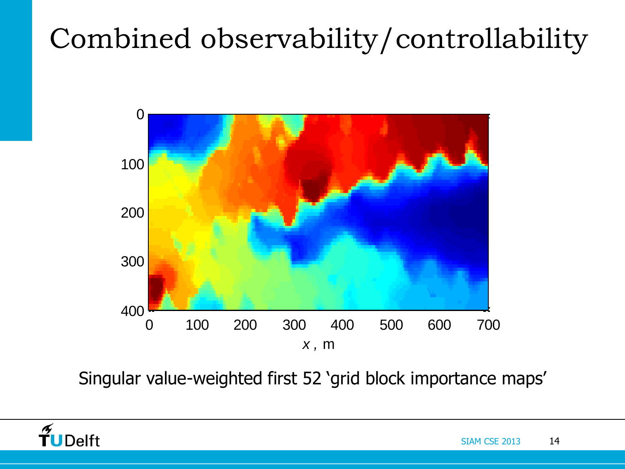# Combined observability/controllability



Singular value-weighted first 52 'grid block importance maps'

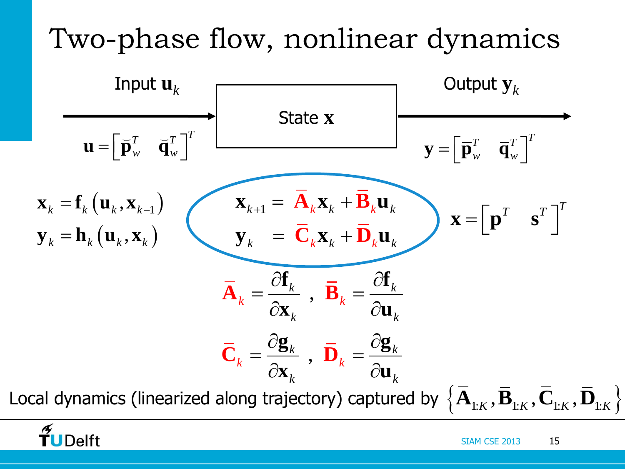# Two-phase flow, nonlinear dynamics



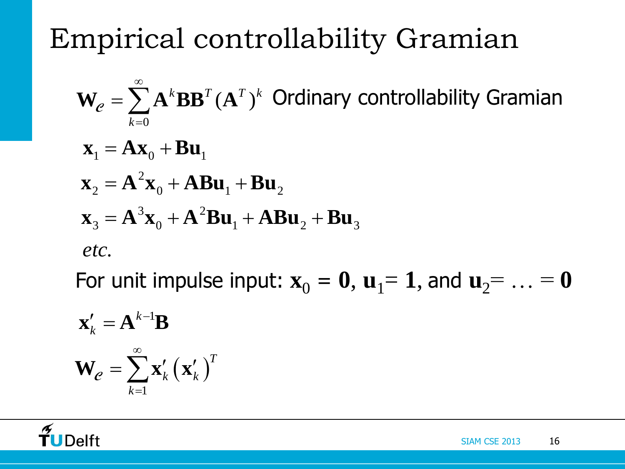Empirical controllability Gramian

$$
\mathbf{W}_e = \sum_{k=0}^{\infty} \mathbf{A}^k \mathbf{B} \mathbf{B}^T (\mathbf{A}^T)^k \text{ Ordinary controllability Gramian}
$$
\n
$$
\mathbf{x}_1 = \mathbf{A} \mathbf{x}_0 + \mathbf{B} \mathbf{u}_1
$$
\n
$$
\mathbf{x}_2 = \mathbf{A}^2 \mathbf{x}_0 + \mathbf{A} \mathbf{B} \mathbf{u}_1 + \mathbf{B} \mathbf{u}_2
$$
\n
$$
\mathbf{x}_3 = \mathbf{A}^3 \mathbf{x}_0 + \mathbf{A}^2 \mathbf{B} \mathbf{u}_1 + \mathbf{A} \mathbf{B} \mathbf{u}_2 + \mathbf{B} \mathbf{u}_3
$$
\netc.

For unit impulse input:  $x_0 = 0$ ,  $u_1 = 1$ , and  $u_2 = ... = 0$ 

$$
\mathbf{x}'_k = \mathbf{A}^{k-1} \mathbf{B}
$$

$$
\mathbf{W}_e = \sum_{k=1}^{\infty} \mathbf{x}'_k (\mathbf{x}'_k)^T
$$

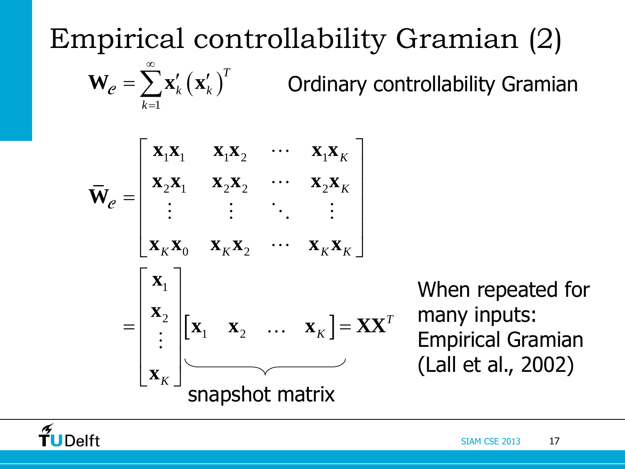Empirical controllability Gramian (2)

$$
\mathbf{W}_e = \sum_{k=1}^{\infty} \mathbf{x}'_k \left(\mathbf{x}'_k\right)^T
$$
 Ordinary controllingability Gramian

$$
\overline{\mathbf{W}}_e = \begin{bmatrix}\n\mathbf{x}_1 \mathbf{x}_1 & \mathbf{x}_1 \mathbf{x}_2 & \cdots & \mathbf{x}_1 \mathbf{x}_K \\
\mathbf{x}_2 \mathbf{x}_1 & \mathbf{x}_2 \mathbf{x}_2 & \cdots & \mathbf{x}_2 \mathbf{x}_K \\
\vdots & \vdots & \ddots & \vdots \\
\mathbf{x}_K \mathbf{x}_0 & \mathbf{x}_K \mathbf{x}_2 & \cdots & \mathbf{x}_K \mathbf{x}_K\n\end{bmatrix}
$$
\n
$$
= \begin{bmatrix}\n\mathbf{x}_1 \\
\mathbf{x}_2 \\
\vdots \\
\mathbf{x}_K\n\end{bmatrix}\n\begin{bmatrix}\n\mathbf{x}_1 & \mathbf{x}_2 & \cdots & \mathbf{x}_K\n\end{bmatrix} = \mathbf{X}\mathbf{X}^T
$$
\nsuperscript{th}

\nsubstituting the values of  $\mathbf{x}_1$  and  $\mathbf{x}_2$ .

When repeated for many inputs: Empirical Gramian (Lall et al., 2002)

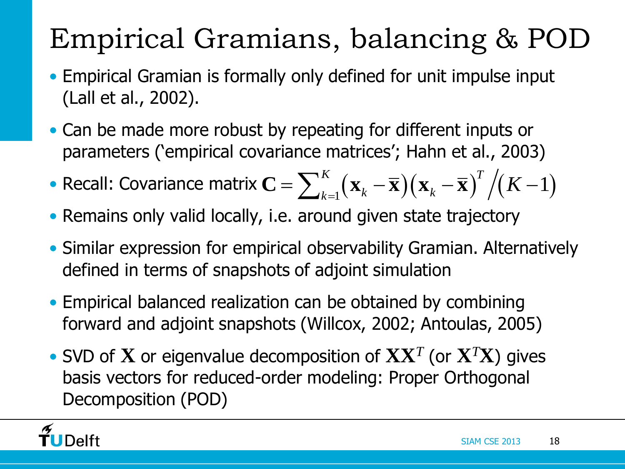# Empirical Gramians, balancing & POD

- Empirical Gramian is formally only defined for unit impulse input (Lall et al., 2002).
- Can be made more robust by repeating for different inputs or parameters ('empirical covariance matrices'; Hahn et al., 2003)
- parameters ('empirical covariance matrices'; Hahn et al., 2003)<br>• Recall: Covariance matrix  $\mathbf{C} = \sum_{k=1}^{K} (\mathbf{x}_k \overline{\mathbf{x}}) (\mathbf{x}_k \overline{\mathbf{x}})^T / (K 1)$
- Remains only valid locally, i.e. around given state trajectory
- Similar expression for empirical observability Gramian. Alternatively defined in terms of snapshots of adjoint simulation
- Empirical balanced realization can be obtained by combining forward and adjoint snapshots (Willcox, 2002; Antoulas, 2005)
- SVD of **X** or eigenvalue decomposition of **XX***<sup>T</sup>* (or **X***<sup>T</sup>***X**) gives basis vectors for reduced-order modeling: Proper Orthogonal Decomposition (POD)

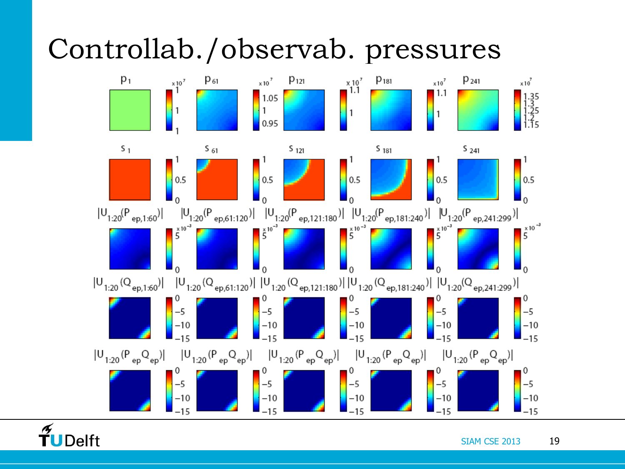### Controllab./observab. pressures



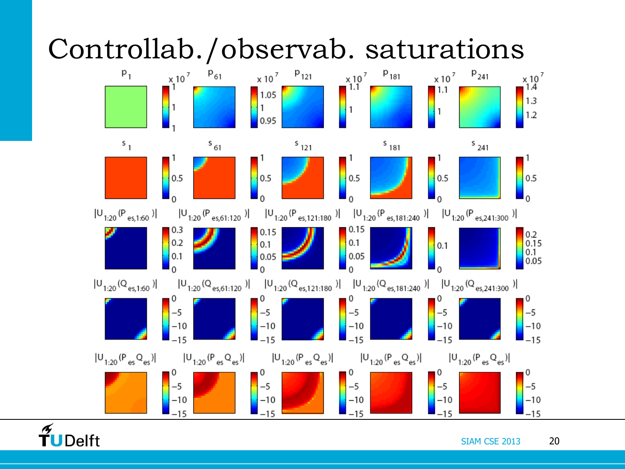

#### $\boldsymbol{\mathscr{F}}$ TUDelft

SIAM CSE 2013 20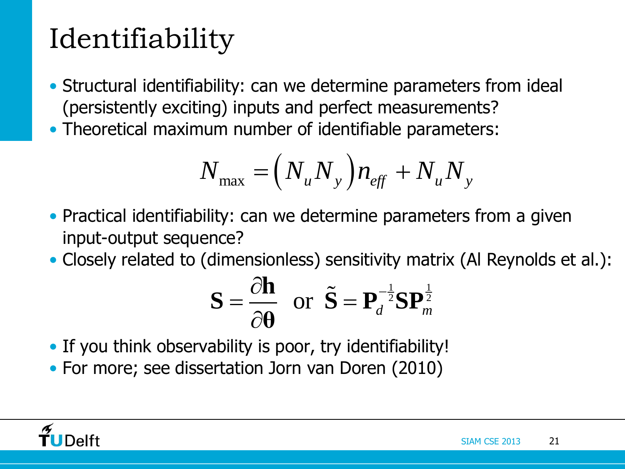# Identifiability

- Structural identifiability: can we determine parameters from ideal (persistently exciting) inputs and perfect measurements?
- Theoretical maximum number of identifiable parameters:

$$
N_{\text{max}} = (N_u N_y) n_{\text{eff}} + N_u N_y
$$

- Practical identifiability: can we determine parameters from a given input-output sequence?
- Closely related to (dimensionless) sensitivity matrix (Al Reynolds et al.):<br>  $\mathbf{S} = \frac{\partial \mathbf{h}}{\partial \mathbf{a}}$  or  $\tilde{\mathbf{S}} = \mathbf{P}_d^{-\frac{1}{2}} \mathbf{S} \mathbf{P}_m^{\frac{1}{2}}$

$$
\mathbf{S} = \frac{\partial \mathbf{h}}{\partial \mathbf{\theta}} \text{ or } \tilde{\mathbf{S}} = \mathbf{P}_d^{-\frac{1}{2}} \mathbf{S} \mathbf{P}_m^{\frac{1}{2}}
$$

- If you think observability is poor, try identifiability!
- For more; see dissertation Jorn van Doren (2010)